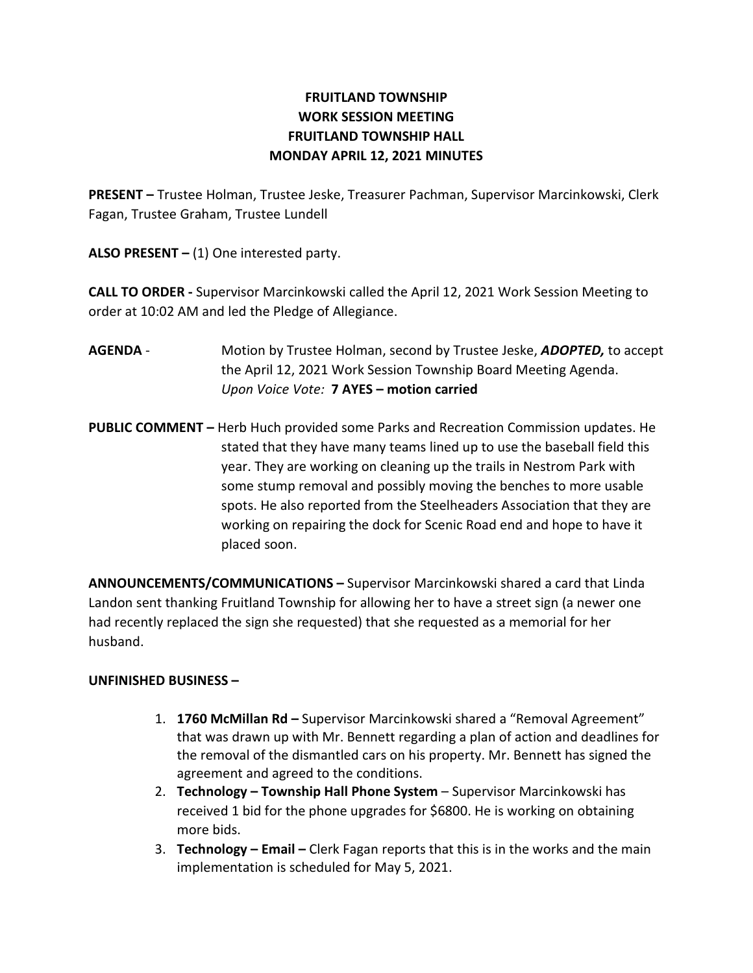## FRUITLAND TOWNSHIP WORK SESSION MEETING FRUITLAND TOWNSHIP HALL MONDAY APRIL 12, 2021 MINUTES

PRESENT – Trustee Holman, Trustee Jeske, Treasurer Pachman, Supervisor Marcinkowski, Clerk Fagan, Trustee Graham, Trustee Lundell

ALSO PRESENT  $-$  (1) One interested party.

CALL TO ORDER - Supervisor Marcinkowski called the April 12, 2021 Work Session Meeting to order at 10:02 AM and led the Pledge of Allegiance.

- AGENDA Motion by Trustee Holman, second by Trustee Jeske, ADOPTED, to accept the April 12, 2021 Work Session Township Board Meeting Agenda. Upon Voice Vote: 7 AYES – motion carried
- PUBLIC COMMENT Herb Huch provided some Parks and Recreation Commission updates. He stated that they have many teams lined up to use the baseball field this year. They are working on cleaning up the trails in Nestrom Park with some stump removal and possibly moving the benches to more usable spots. He also reported from the Steelheaders Association that they are working on repairing the dock for Scenic Road end and hope to have it placed soon.

ANNOUNCEMENTS/COMMUNICATIONS – Supervisor Marcinkowski shared a card that Linda Landon sent thanking Fruitland Township for allowing her to have a street sign (a newer one had recently replaced the sign she requested) that she requested as a memorial for her husband.

## UNFINISHED BUSINESS –

- 1. 1760 McMillan Rd Supervisor Marcinkowski shared a "Removal Agreement" that was drawn up with Mr. Bennett regarding a plan of action and deadlines for the removal of the dismantled cars on his property. Mr. Bennett has signed the agreement and agreed to the conditions.
- 2. Technology Township Hall Phone System Supervisor Marcinkowski has received 1 bid for the phone upgrades for \$6800. He is working on obtaining more bids.
- 3. Technology Email Clerk Fagan reports that this is in the works and the main implementation is scheduled for May 5, 2021.